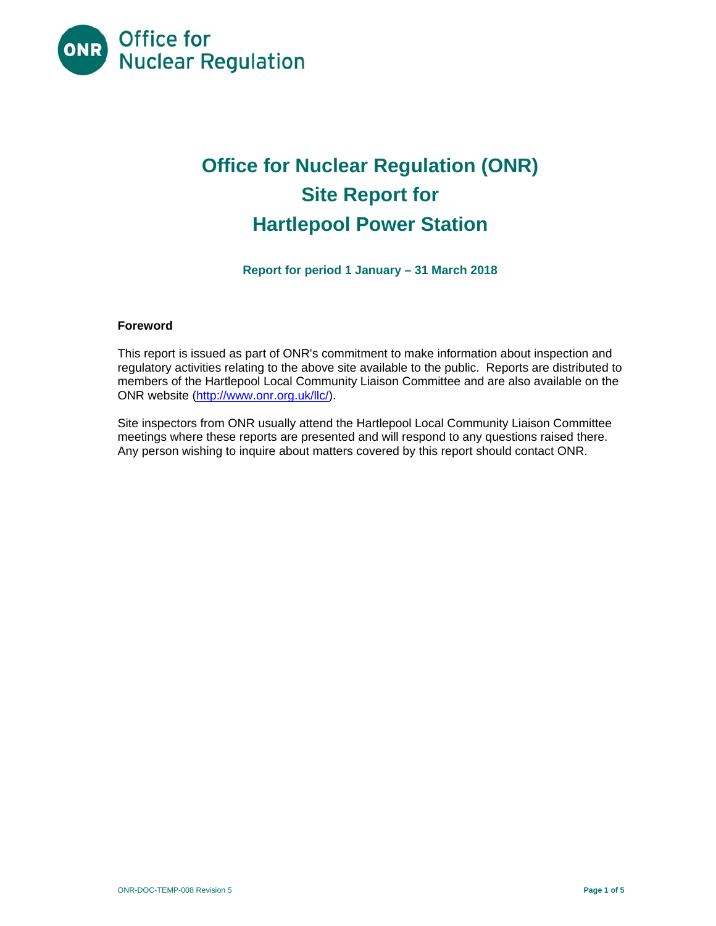

# **Office for Nuclear Regulation (ONR) Site Report for Hartlepool Power Station**

**Report for period 1 January – 31 March 2018** 

# **Foreword**

This report is issued as part of ONR's commitment to make information about inspection and regulatory activities relating to the above site available to the public. Reports are distributed to members of the Hartlepool Local Community Liaison Committee and are also available on the ONR website (http://www.onr.org.uk/llc/).

Site inspectors from ONR usually attend the Hartlepool Local Community Liaison Committee meetings where these reports are presented and will respond to any questions raised there. Any person wishing to inquire about matters covered by this report should contact ONR.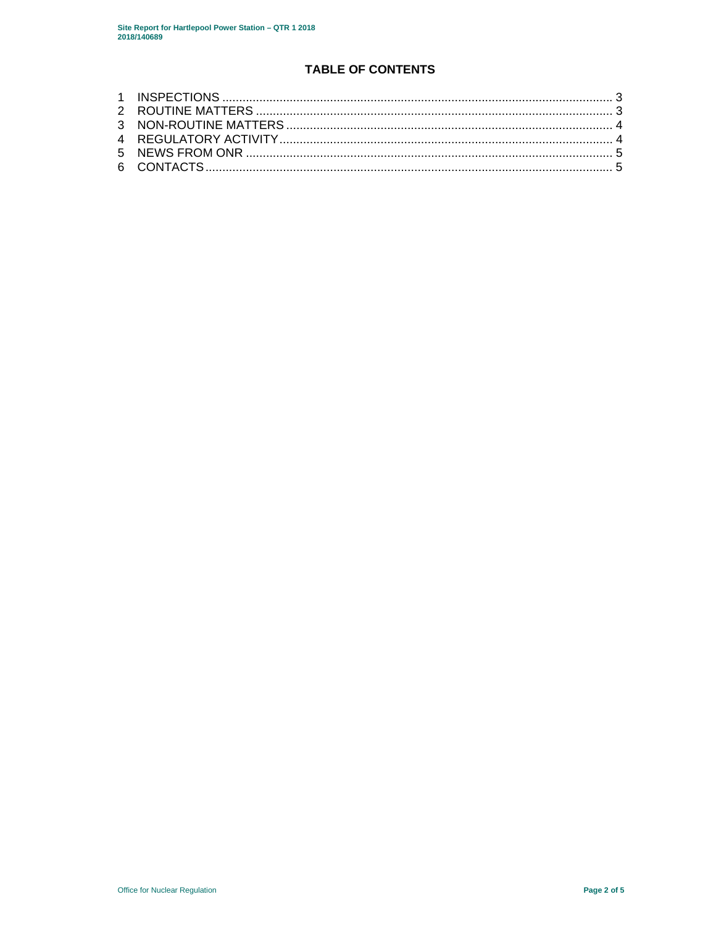# **TABLE OF CONTENTS**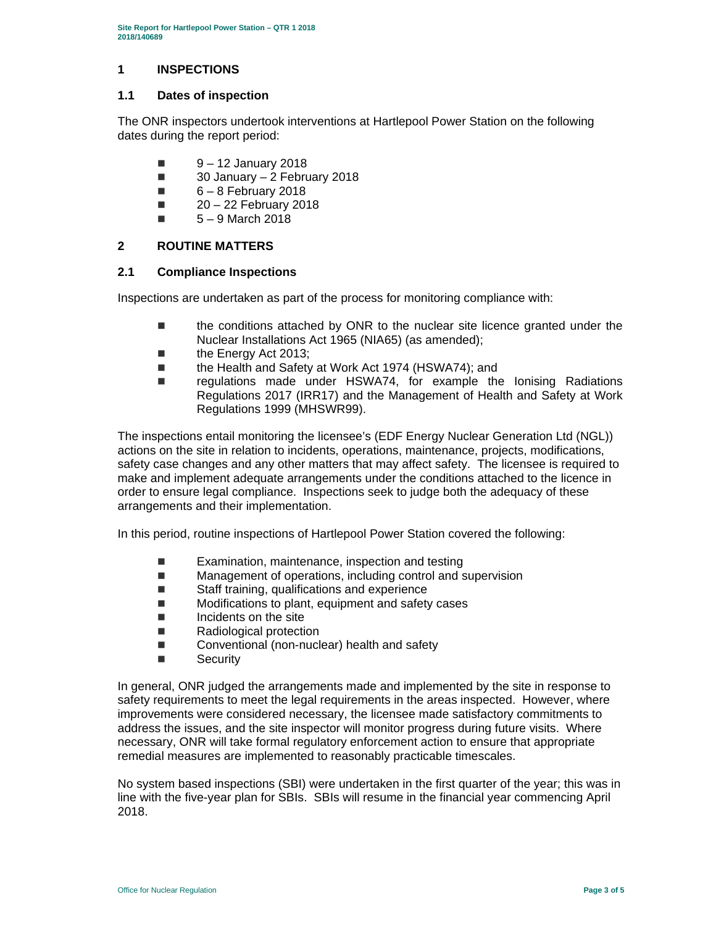# **1 INSPECTIONS**

### **1.1 Dates of inspection**

The ONR inspectors undertook interventions at Hartlepool Power Station on the following dates during the report period:

- $\blacksquare$  9 12 January 2018
- $\Box$  30 January 2 February 2018
- $\blacksquare$  6 8 February 2018
- $\blacksquare$  20 22 February 2018
- $\blacksquare$  5 9 March 2018

# **2 ROUTINE MATTERS**

#### **2.1 Compliance Inspections**

Inspections are undertaken as part of the process for monitoring compliance with:

- the conditions attached by ONR to the nuclear site licence granted under the Nuclear Installations Act 1965 (NIA65) (as amended);
- the Energy Act 2013;
- the Health and Safety at Work Act 1974 (HSWA74); and
- regulations made under HSWA74, for example the Ionising Radiations Regulations 2017 (IRR17) and the Management of Health and Safety at Work Regulations 1999 (MHSWR99).

The inspections entail monitoring the licensee's (EDF Energy Nuclear Generation Ltd (NGL)) actions on the site in relation to incidents, operations, maintenance, projects, modifications, safety case changes and any other matters that may affect safety. The licensee is required to make and implement adequate arrangements under the conditions attached to the licence in order to ensure legal compliance. Inspections seek to judge both the adequacy of these arrangements and their implementation.

In this period, routine inspections of Hartlepool Power Station covered the following:

- $\blacksquare$  Examination, maintenance, inspection and testing
- Management of operations, including control and supervision
- Staff training, qualifications and experience
- Modifications to plant, equipment and safety cases
- $\blacksquare$  Incidents on the site
- Radiological protection
- Conventional (non-nuclear) health and safety
- Security

In general, ONR judged the arrangements made and implemented by the site in response to safety requirements to meet the legal requirements in the areas inspected. However, where improvements were considered necessary, the licensee made satisfactory commitments to address the issues, and the site inspector will monitor progress during future visits. Where necessary, ONR will take formal regulatory enforcement action to ensure that appropriate remedial measures are implemented to reasonably practicable timescales.

No system based inspections (SBI) were undertaken in the first quarter of the year; this was in line with the five-year plan for SBIs. SBIs will resume in the financial year commencing April 2018.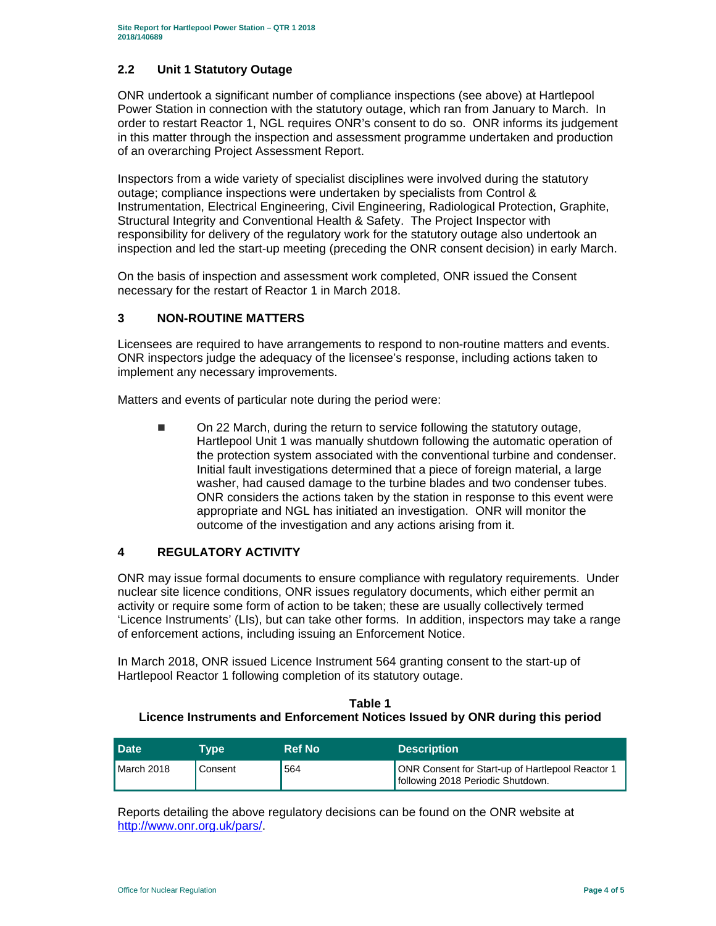# **2.2 Unit 1 Statutory Outage**

ONR undertook a significant number of compliance inspections (see above) at Hartlepool Power Station in connection with the statutory outage, which ran from January to March. In order to restart Reactor 1, NGL requires ONR's consent to do so. ONR informs its judgement in this matter through the inspection and assessment programme undertaken and production of an overarching Project Assessment Report.

Inspectors from a wide variety of specialist disciplines were involved during the statutory outage; compliance inspections were undertaken by specialists from Control & Instrumentation, Electrical Engineering, Civil Engineering, Radiological Protection, Graphite, Structural Integrity and Conventional Health & Safety. The Project Inspector with responsibility for delivery of the regulatory work for the statutory outage also undertook an inspection and led the start-up meeting (preceding the ONR consent decision) in early March.

On the basis of inspection and assessment work completed, ONR issued the Consent necessary for the restart of Reactor 1 in March 2018.

# **3 NON-ROUTINE MATTERS**

Licensees are required to have arrangements to respond to non-routine matters and events. ONR inspectors judge the adequacy of the licensee's response, including actions taken to implement any necessary improvements.

Matters and events of particular note during the period were:

■ On 22 March, during the return to service following the statutory outage, Hartlepool Unit 1 was manually shutdown following the automatic operation of the protection system associated with the conventional turbine and condenser. Initial fault investigations determined that a piece of foreign material, a large washer, had caused damage to the turbine blades and two condenser tubes. ONR considers the actions taken by the station in response to this event were appropriate and NGL has initiated an investigation. ONR will monitor the outcome of the investigation and any actions arising from it.

# **4 REGULATORY ACTIVITY**

ONR may issue formal documents to ensure compliance with regulatory requirements. Under nuclear site licence conditions, ONR issues regulatory documents, which either permit an activity or require some form of action to be taken; these are usually collectively termed 'Licence Instruments' (LIs), but can take other forms. In addition, inspectors may take a range of enforcement actions, including issuing an Enforcement Notice.

In March 2018, ONR issued Licence Instrument 564 granting consent to the start-up of Hartlepool Reactor 1 following completion of its statutory outage.

### **Table 1 Licence Instruments and Enforcement Notices Issued by ONR during this period**

| <b>Date</b>  | <b>Type</b> | <b>Ref No</b> | <b>Description</b>                                                                     |
|--------------|-------------|---------------|----------------------------------------------------------------------------------------|
| $March$ 2018 | Consent     | 564           | ONR Consent for Start-up of Hartlepool Reactor 1<br>Ifollowing 2018 Periodic Shutdown. |

Reports detailing the above regulatory decisions can be found on the ONR website at http://www.onr.org.uk/pars/.